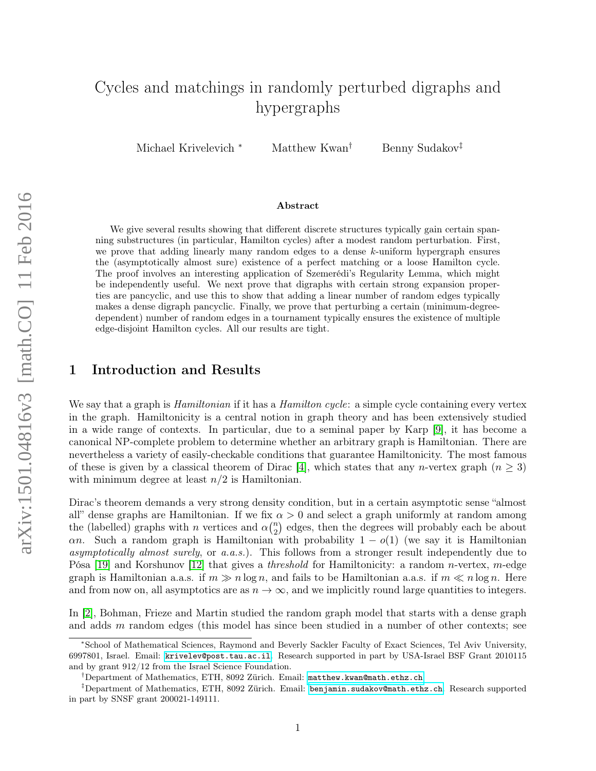# Cycles and matchings in randomly perturbed digraphs and hypergraphs

Michael Krivelevich <sup>∗</sup> Matthew Kwan<sup>†</sup> Benny Sudakov<sup>‡</sup>

#### Abstract

We give several results showing that different discrete structures typically gain certain spanning substructures (in particular, Hamilton cycles) after a modest random perturbation. First, we prove that adding linearly many random edges to a dense k-uniform hypergraph ensures the (asymptotically almost sure) existence of a perfect matching or a loose Hamilton cycle. The proof involves an interesting application of Szemerédi's Regularity Lemma, which might be independently useful. We next prove that digraphs with certain strong expansion properties are pancyclic, and use this to show that adding a linear number of random edges typically makes a dense digraph pancyclic. Finally, we prove that perturbing a certain (minimum-degreedependent) number of random edges in a tournament typically ensures the existence of multiple edge-disjoint Hamilton cycles. All our results are tight.

#### 1 Introduction and Results

We say that a graph is *Hamiltonian* if it has a *Hamilton cycle*: a simple cycle containing every vertex in the graph. Hamiltonicity is a central notion in graph theory and has been extensively studied in a wide range of contexts. In particular, due to a seminal paper by Karp [\[9\]](#page-15-0), it has become a canonical NP-complete problem to determine whether an arbitrary graph is Hamiltonian. There are nevertheless a variety of easily-checkable conditions that guarantee Hamiltonicity. The most famous of these is given by a classical theorem of Dirac [\[4\]](#page-15-1), which states that any *n*-vertex graph  $(n \geq 3)$ with minimum degree at least  $n/2$  is Hamiltonian.

Dirac's theorem demands a very strong density condition, but in a certain asymptotic sense "almost" all" dense graphs are Hamiltonian. If we fix  $\alpha > 0$  and select a graph uniformly at random among the (labelled) graphs with *n* vertices and  $\alpha \binom{n}{2}$  $n_2$ ) edges, then the degrees will probably each be about an. Such a random graph is Hamiltonian with probability  $1 - o(1)$  (we say it is Hamiltonian asymptotically almost surely, or a.a.s.). This follows from a stronger result independently due to Pósa [\[19\]](#page-16-0) and Korshunov [\[12\]](#page-15-2) that gives a *threshold* for Hamiltonicity: a random *n*-vertex, *m*-edge graph is Hamiltonian a.a.s. if  $m \gg n \log n$ , and fails to be Hamiltonian a.a.s. if  $m \ll n \log n$ . Here and from now on, all asymptotics are as  $n \to \infty$ , and we implicitly round large quantities to integers.

In [\[2\]](#page-15-3), Bohman, Frieze and Martin studied the random graph model that starts with a dense graph and adds  $m$  random edges (this model has since been studied in a number of other contexts; see

<sup>∗</sup>School of Mathematical Sciences, Raymond and Beverly Sackler Faculty of Exact Sciences, Tel Aviv University, 6997801, Israel. Email: [krivelev@post.tau.ac.il](mailto:krivelev@post.tau.ac.il). Research supported in part by USA-Israel BSF Grant 2010115 and by grant 912/12 from the Israel Science Foundation.

<sup>†</sup>Department of Mathematics, ETH, 8092 Zürich. Email: [matthew.kwan@math.ethz.ch](mailto:matthew.kwan@math.ethz.ch).

<sup>‡</sup>Department of Mathematics, ETH, 8092 Zürich. Email: [benjamin.sudakov@math.ethz.ch](mailto:benjamin.sudakov@math.ethz.ch). Research supported in part by SNSF grant 200021-149111.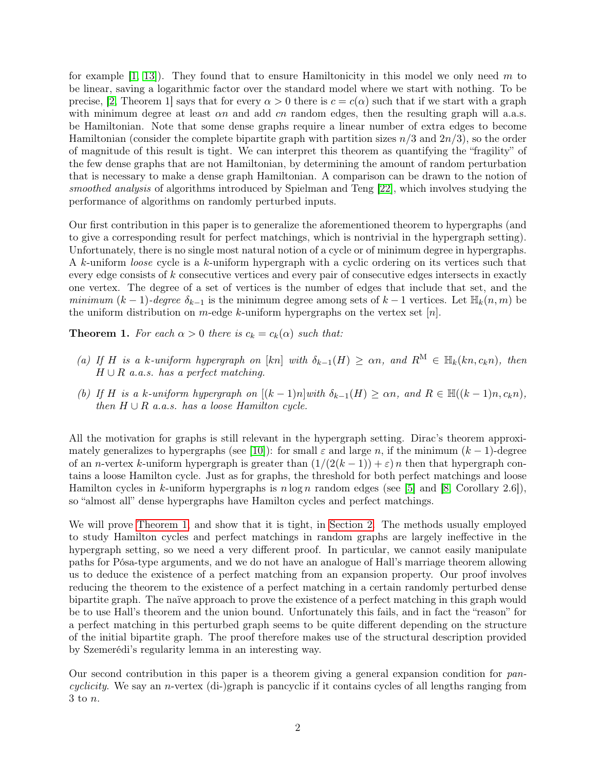for example  $[1, 13]$  $[1, 13]$ . They found that to ensure Hamiltonicity in this model we only need m to be linear, saving a logarithmic factor over the standard model where we start with nothing. To be precise, [\[2,](#page-15-3) Theorem 1] says that for every  $\alpha > 0$  there is  $c = c(\alpha)$  such that if we start with a graph with minimum degree at least  $\alpha n$  and add  $cn$  random edges, then the resulting graph will a.a.s. be Hamiltonian. Note that some dense graphs require a linear number of extra edges to become Hamiltonian (consider the complete bipartite graph with partition sizes  $n/3$  and  $2n/3$ ), so the order of magnitude of this result is tight. We can interpret this theorem as quantifying the "fragility" of the few dense graphs that are not Hamiltonian, by determining the amount of random perturbation that is necessary to make a dense graph Hamiltonian. A comparison can be drawn to the notion of smoothed analysis of algorithms introduced by Spielman and Teng [\[22\]](#page-16-1), which involves studying the performance of algorithms on randomly perturbed inputs.

Our first contribution in this paper is to generalize the aforementioned theorem to hypergraphs (and to give a corresponding result for perfect matchings, which is nontrivial in the hypergraph setting). Unfortunately, there is no single most natural notion of a cycle or of minimum degree in hypergraphs. A k-uniform loose cycle is a k-uniform hypergraph with a cyclic ordering on its vertices such that every edge consists of  $k$  consecutive vertices and every pair of consecutive edges intersects in exactly one vertex. The degree of a set of vertices is the number of edges that include that set, and the minimum  $(k-1)$ -degree  $\delta_{k-1}$  is the minimum degree among sets of  $k-1$  vertices. Let  $\mathbb{H}_k(n,m)$  be the uniform distribution on m-edge k-uniform hypergraphs on the vertex set  $[n]$ .

<span id="page-1-0"></span>**Theorem 1.** For each  $\alpha > 0$  there is  $c_k = c_k(\alpha)$  such that:

- <span id="page-1-1"></span>(a) If H is a k-uniform hypergraph on  $[kn]$  with  $\delta_{k-1}(H) \ge \alpha n$ , and  $R^M \in \mathbb{H}_k(kn, c_kn)$ , then  $H \cup R$  a.a.s. has a perfect matching.
- <span id="page-1-2"></span>(b) If H is a k-uniform hypergraph on  $[(k-1)n]$  with  $\delta_{k-1}(H) \ge \alpha n$ , and  $R \in \mathbb{H}((k-1)n, c_k n)$ , then  $H \cup R$  a.a.s. has a loose Hamilton cycle.

All the motivation for graphs is still relevant in the hypergraph setting. Dirac's theorem approxi-mately generalizes to hypergraphs (see [\[10\]](#page-15-6)): for small  $\varepsilon$  and large n, if the minimum  $(k-1)$ -degree of an n-vertex k-uniform hypergraph is greater than  $(1/(2(k-1))+\varepsilon)n$  then that hypergraph contains a loose Hamilton cycle. Just as for graphs, the threshold for both perfect matchings and loose Hamilton cycles in k-uniform hypergraphs is  $n \log n$  random edges (see [\[5\]](#page-15-7) and [\[8,](#page-15-8) Corollary 2.6]), so "almost all" dense hypergraphs have Hamilton cycles and perfect matchings.

We will prove [Theorem 1,](#page-1-0) and show that it is tight, in [Section 2.](#page-3-0) The methods usually employed to study Hamilton cycles and perfect matchings in random graphs are largely ineffective in the hypergraph setting, so we need a very different proof. In particular, we cannot easily manipulate paths for Pósa-type arguments, and we do not have an analogue of Hall's marriage theorem allowing us to deduce the existence of a perfect matching from an expansion property. Our proof involves reducing the theorem to the existence of a perfect matching in a certain randomly perturbed dense bipartite graph. The naïve approach to prove the existence of a perfect matching in this graph would be to use Hall's theorem and the union bound. Unfortunately this fails, and in fact the "reason" for a perfect matching in this perturbed graph seems to be quite different depending on the structure of the initial bipartite graph. The proof therefore makes use of the structural description provided by Szemerédi's regularity lemma in an interesting way.

Our second contribution in this paper is a theorem giving a general expansion condition for  $pan$ cyclicity. We say an *n*-vertex (di-)graph is pancyclic if it contains cycles of all lengths ranging from 3 to n.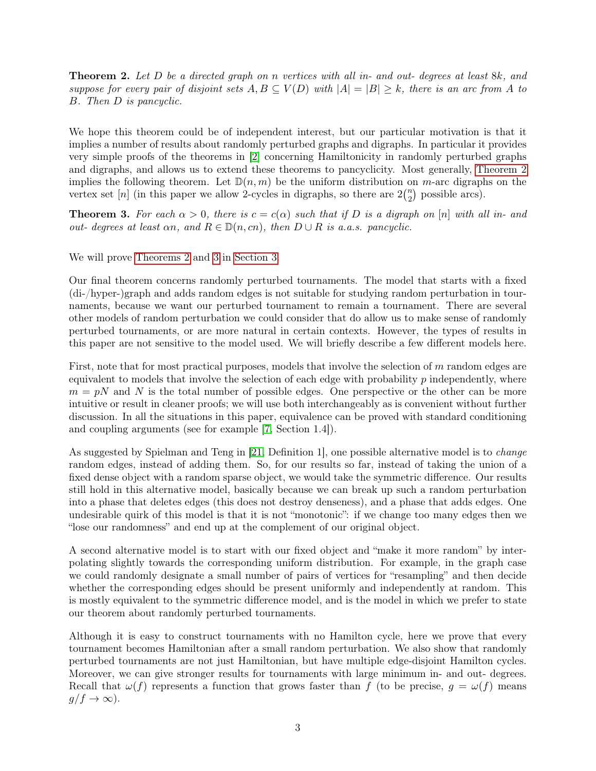<span id="page-2-0"></span>Theorem 2. Let D be a directed graph on n vertices with all in- and out- degrees at least 8k, and suppose for every pair of disjoint sets  $A, B \subseteq V(D)$  with  $|A| = |B| \geq k$ , there is an arc from A to B. Then D is pancyclic.

We hope this theorem could be of independent interest, but our particular motivation is that it implies a number of results about randomly perturbed graphs and digraphs. In particular it provides very simple proofs of the theorems in [\[2\]](#page-15-3) concerning Hamiltonicity in randomly perturbed graphs and digraphs, and allows us to extend these theorems to pancyclicity. Most generally, [Theorem 2](#page-2-0) implies the following theorem. Let  $\mathbb{D}(n,m)$  be the uniform distribution on m-arc digraphs on the vertex set [n] (in this paper we allow 2-cycles in digraphs, so there are  $2\binom{n}{2}$  $n \choose 2$  possible arcs).

<span id="page-2-1"></span>**Theorem 3.** For each  $\alpha > 0$ , there is  $c = c(\alpha)$  such that if D is a digraph on [n] with all in- and out- degrees at least  $\alpha n$ , and  $R \in \mathbb{D}(n, cn)$ , then  $D \cup R$  is a.a.s. pancyclic.

We will prove [Theorems 2](#page-2-0) and [3](#page-2-1) in [Section 3.](#page-9-0)

Our final theorem concerns randomly perturbed tournaments. The model that starts with a fixed (di-/hyper-)graph and adds random edges is not suitable for studying random perturbation in tournaments, because we want our perturbed tournament to remain a tournament. There are several other models of random perturbation we could consider that do allow us to make sense of randomly perturbed tournaments, or are more natural in certain contexts. However, the types of results in this paper are not sensitive to the model used. We will briefly describe a few different models here.

First, note that for most practical purposes, models that involve the selection of  $m$  random edges are equivalent to models that involve the selection of each edge with probability p independently, where  $m = pN$  and N is the total number of possible edges. One perspective or the other can be more intuitive or result in cleaner proofs; we will use both interchangeably as is convenient without further discussion. In all the situations in this paper, equivalence can be proved with standard conditioning and coupling arguments (see for example [\[7,](#page-15-9) Section 1.4]).

As suggested by Spielman and Teng in [\[21,](#page-16-2) Definition 1], one possible alternative model is to *change* random edges, instead of adding them. So, for our results so far, instead of taking the union of a fixed dense object with a random sparse object, we would take the symmetric difference. Our results still hold in this alternative model, basically because we can break up such a random perturbation into a phase that deletes edges (this does not destroy denseness), and a phase that adds edges. One undesirable quirk of this model is that it is not "monotonic": if we change too many edges then we "lose our randomness" and end up at the complement of our original object.

A second alternative model is to start with our fixed object and "make it more random" by interpolating slightly towards the corresponding uniform distribution. For example, in the graph case we could randomly designate a small number of pairs of vertices for "resampling" and then decide whether the corresponding edges should be present uniformly and independently at random. This is mostly equivalent to the symmetric difference model, and is the model in which we prefer to state our theorem about randomly perturbed tournaments.

Although it is easy to construct tournaments with no Hamilton cycle, here we prove that every tournament becomes Hamiltonian after a small random perturbation. We also show that randomly perturbed tournaments are not just Hamiltonian, but have multiple edge-disjoint Hamilton cycles. Moreover, we can give stronger results for tournaments with large minimum in- and out- degrees. Recall that  $\omega(f)$  represents a function that grows faster than f (to be precise,  $g = \omega(f)$  means  $g/f \to \infty$ ).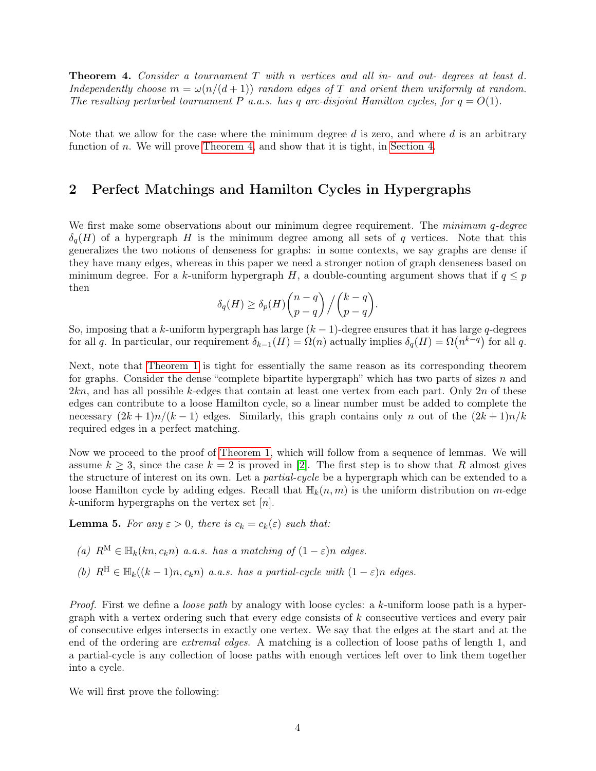<span id="page-3-1"></span>Theorem 4. Consider a tournament T with n vertices and all in- and out- degrees at least d. Independently choose  $m = \omega(n/(d+1))$  random edges of T and orient them uniformly at random. The resulting perturbed tournament P a.a.s. has q arc-disjoint Hamilton cycles, for  $q = O(1)$ .

Note that we allow for the case where the minimum degree  $d$  is zero, and where  $d$  is an arbitrary function of n. We will prove [Theorem 4,](#page-3-1) and show that it is tight, in [Section 4.](#page-11-0)

# <span id="page-3-0"></span>2 Perfect Matchings and Hamilton Cycles in Hypergraphs

We first make some observations about our minimum degree requirement. The *minimum q-deqree*  $\delta_{q}(H)$  of a hypergraph H is the minimum degree among all sets of q vertices. Note that this generalizes the two notions of denseness for graphs: in some contexts, we say graphs are dense if they have many edges, whereas in this paper we need a stronger notion of graph denseness based on minimum degree. For a k-uniform hypergraph H, a double-counting argument shows that if  $q \leq p$ then

$$
\delta_q(H) \geq \delta_p(H) \binom{n-q}{p-q} / \binom{k-q}{p-q}.
$$

So, imposing that a k-uniform hypergraph has large  $(k-1)$ -degree ensures that it has large q-degrees for all q. In particular, our requirement  $\delta_{k-1}(H) = \Omega(n)$  actually implies  $\delta_q(H) = \Omega(n^{k-q})$  for all q.

Next, note that [Theorem 1](#page-1-0) is tight for essentially the same reason as its corresponding theorem for graphs. Consider the dense "complete bipartite hypergraph" which has two parts of sizes n and  $2kn$ , and has all possible k-edges that contain at least one vertex from each part. Only  $2n$  of these edges can contribute to a loose Hamilton cycle, so a linear number must be added to complete the necessary  $(2k+1)n/(k-1)$  edges. Similarly, this graph contains only n out of the  $(2k+1)n/k$ required edges in a perfect matching.

Now we proceed to the proof of [Theorem 1,](#page-1-0) which will follow from a sequence of lemmas. We will assume  $k \geq 3$ , since the case  $k = 2$  is proved in [\[2\]](#page-15-3). The first step is to show that R almost gives the structure of interest on its own. Let a *partial-cycle* be a hypergraph which can be extended to a loose Hamilton cycle by adding edges. Recall that  $\mathbb{H}_k(n,m)$  is the uniform distribution on m-edge k-uniform hypergraphs on the vertex set  $[n]$ .

<span id="page-3-4"></span>**Lemma 5.** For any  $\varepsilon > 0$ , there is  $c_k = c_k(\varepsilon)$  such that:

<span id="page-3-2"></span>(a) 
$$
R^M \in \mathbb{H}_k(kn, c_kn)
$$
 a.a.s. has a matching of  $(1 - \varepsilon)n$  edges.

<span id="page-3-3"></span>(b)  $R^{\text{H}} \in \mathbb{H}_{k}((k-1)n, c_{k}n)$  a.a.s. has a partial-cycle with  $(1 - \varepsilon)n$  edges.

Proof. First we define a *loose path* by analogy with loose cycles: a k-uniform loose path is a hypergraph with a vertex ordering such that every edge consists of  $k$  consecutive vertices and every pair of consecutive edges intersects in exactly one vertex. We say that the edges at the start and at the end of the ordering are extremal edges. A matching is a collection of loose paths of length 1, and a partial-cycle is any collection of loose paths with enough vertices left over to link them together into a cycle.

We will first prove the following: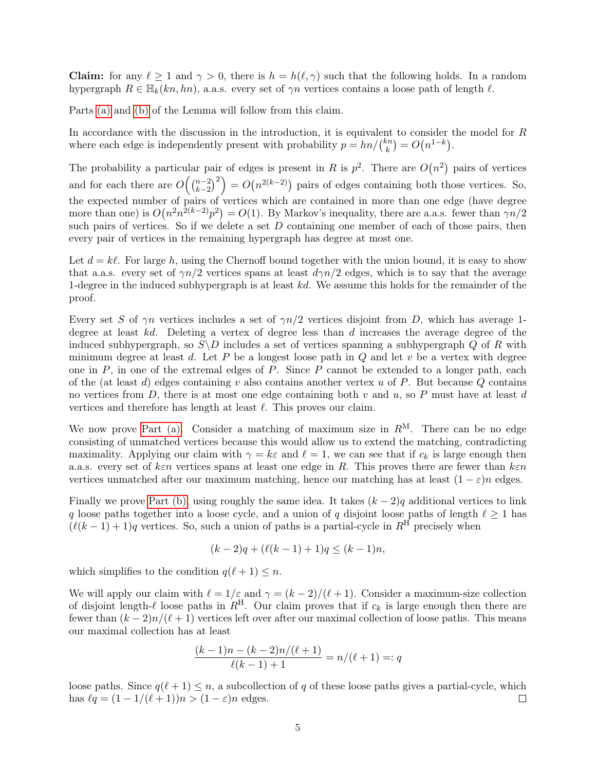**Claim:** for any  $\ell > 1$  and  $\gamma > 0$ , there is  $h = h(\ell, \gamma)$  such that the following holds. In a random hypergraph  $R \in \mathbb{H}_k(kn, hn)$ , a.a.s. every set of  $\gamma n$  vertices contains a loose path of length  $\ell$ .

Parts [\(a\)](#page-3-2) and [\(b\)](#page-3-3) of the Lemma will follow from this claim.

In accordance with the discussion in the introduction, it is equivalent to consider the model for R where each edge is independently present with probability  $p = \frac{hn}{k}$  $k^{(n)}(n) = O(n^{1-k}).$ 

The probability a particular pair of edges is present in R is  $p^2$ . There are  $O(n^2)$  pairs of vertices and for each there are  $O\left(\binom{n-2}{k-2}\right)$  $\binom{n-2}{k-2}^2$  =  $O(n^{2(k-2)})$  pairs of edges containing both those vertices. So, the expected number of pairs of vertices which are contained in more than one edge (have degree more than one) is  $O(n^2n^{2(k-2)}p^2) = O(1)$ . By Markov's inequality, there are a.a.s. fewer than  $\gamma n/2$ such pairs of vertices. So if we delete a set  $D$  containing one member of each of those pairs, then every pair of vertices in the remaining hypergraph has degree at most one.

Let  $d = k\ell$ . For large h, using the Chernoff bound together with the union bound, it is easy to show that a.a.s. every set of  $\gamma n/2$  vertices spans at least  $d\gamma n/2$  edges, which is to say that the average 1-degree in the induced subhypergraph is at least  $kd$ . We assume this holds for the remainder of the proof.

Every set S of  $\gamma n$  vertices includes a set of  $\gamma n/2$  vertices disjoint from D, which has average 1degree at least  $kd$ . Deleting a vertex of degree less than d increases the average degree of the induced subhypergraph, so  $S\backslash D$  includes a set of vertices spanning a subhypergraph Q of R with minimum degree at least d. Let P be a longest loose path in  $Q$  and let v be a vertex with degree one in  $P$ , in one of the extremal edges of  $P$ . Since  $P$  cannot be extended to a longer path, each of the (at least d) edges containing v also contains another vertex u of P. But because Q contains no vertices from  $D$ , there is at most one edge containing both v and u, so P must have at least d vertices and therefore has length at least  $\ell$ . This proves our claim.

We now prove [Part \(a\).](#page-3-2) Consider a matching of maximum size in  $R^M$ . There can be no edge consisting of unmatched vertices because this would allow us to extend the matching, contradicting maximality. Applying our claim with  $\gamma = k\varepsilon$  and  $\ell = 1$ , we can see that if  $c_k$  is large enough then a.a.s. every set of ken vertices spans at least one edge in R. This proves there are fewer than  $k \varepsilon n$ vertices unmatched after our maximum matching, hence our matching has at least  $(1 - \varepsilon)n$  edges.

Finally we prove [Part \(b\),](#page-3-3) using roughly the same idea. It takes  $(k-2)q$  additional vertices to link q loose paths together into a loose cycle, and a union of q disjoint loose paths of length  $\ell \geq 1$  has  $(\ell(k-1) + 1)q$  vertices. So, such a union of paths is a partial-cycle in  $R^{\text{H}}$  precisely when

$$
(k-2)q + (\ell(k-1) + 1)q \le (k-1)n,
$$

which simplifies to the condition  $q(\ell + 1) \leq n$ .

We will apply our claim with  $\ell = 1/\varepsilon$  and  $\gamma = (k - 2)/(\ell + 1)$ . Consider a maximum-size collection of disjoint length- $\ell$  loose paths in  $R^H$ . Our claim proves that if  $c_k$  is large enough then there are fewer than  $(k - 2)n/(\ell + 1)$  vertices left over after our maximal collection of loose paths. This means our maximal collection has at least

$$
\frac{(k-1)n - (k-2)n/(\ell+1)}{\ell(k-1)+1} = n/(\ell+1) =: q
$$

loose paths. Since  $q(\ell + 1) \leq n$ , a subcollection of q of these loose paths gives a partial-cycle, which has  $\ell q = (1 - 1/(\ell + 1))n > (1 - \varepsilon)n$  edges.  $\Box$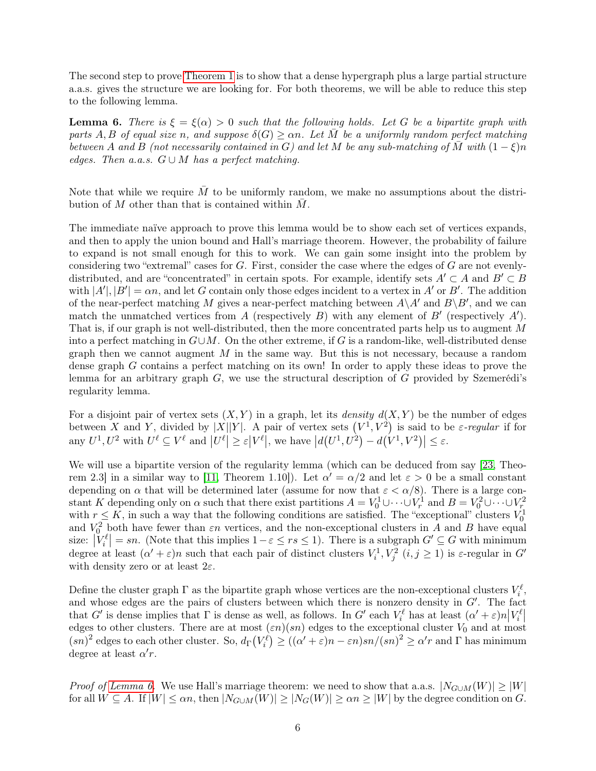The second step to prove [Theorem 1](#page-1-0) is to show that a dense hypergraph plus a large partial structure a.a.s. gives the structure we are looking for. For both theorems, we will be able to reduce this step to the following lemma.

<span id="page-5-0"></span>**Lemma 6.** There is  $\xi = \xi(\alpha) > 0$  such that the following holds. Let G be a bipartite graph with parts A, B of equal size n, and suppose  $\delta(G) > \alpha n$ . Let M be a uniformly random perfect matching between A and B (not necessarily contained in G) and let M be any sub-matching of  $\overline{M}$  with  $(1 - \xi)n$ edges. Then a.a.s.  $G \cup M$  has a perfect matching.

Note that while we require  $\overline{M}$  to be uniformly random, we make no assumptions about the distribution of  $M$  other than that is contained within  $M$ .

The immediate naïve approach to prove this lemma would be to show each set of vertices expands, and then to apply the union bound and Hall's marriage theorem. However, the probability of failure to expand is not small enough for this to work. We can gain some insight into the problem by considering two "extremal" cases for  $G$ . First, consider the case where the edges of  $G$  are not evenlydistributed, and are "concentrated" in certain spots. For example, identify sets  $A' \subset A$  and  $B' \subset B$ with  $|A'|, |B'| = \alpha n$ , and let G contain only those edges incident to a vertex in A' or B'. The addition of the near-perfect matching M gives a near-perfect matching between  $A\ A'$  and  $B\ B'$ , and we can match the unmatched vertices from A (respectively B) with any element of  $B'$  (respectively A'). That is, if our graph is not well-distributed, then the more concentrated parts help us to augment M into a perfect matching in  $G\cup M$ . On the other extreme, if G is a random-like, well-distributed dense graph then we cannot augment  $M$  in the same way. But this is not necessary, because a random dense graph G contains a perfect matching on its own! In order to apply these ideas to prove the lemma for an arbitrary graph  $G$ , we use the structural description of  $G$  provided by Szemerédi's regularity lemma.

For a disjoint pair of vertex sets  $(X, Y)$  in a graph, let its *density*  $d(X, Y)$  be the number of edges between X and Y, divided by |X||Y|. A pair of vertex sets  $(V^1, V^2)$  is said to be  $\varepsilon$ -regular if for any  $U^1, U^2$  with  $U^{\ell} \subseteq V^{\ell}$  and  $|U^{\ell}| \geq \varepsilon |V^{\ell}|$ , we have  $|d(U^1, U^2) - d(V^1, V^2)| \leq \varepsilon$ .

We will use a bipartite version of the regularity lemma (which can be deduced from say [\[23,](#page-16-3) Theo-rem 2.3 in a similar way to [\[11,](#page-15-10) Theorem 1.10]). Let  $\alpha' = \alpha/2$  and let  $\varepsilon > 0$  be a small constant depending on  $\alpha$  that will be determined later (assume for now that  $\varepsilon < \alpha/8$ ). There is a large constant K depending only on  $\alpha$  such that there exist partitions  $A = V_0^1 \cup \cdots \cup V_r^1$  and  $B = V_0^2 \cup \cdots \cup V_r^2$ <br>with  $r \leq K$ , in such a way that the following conditions are satisfied. The "exceptional" clusters  $V_0^1$ and  $V_0^2$  both have fewer than  $\varepsilon n$  vertices, and the non-exceptional clusters in A and B have equal size:  $|V_i^{\ell}| = sn$ . (Note that this implies  $1 - \varepsilon \le rs \le 1$ ). There is a subgraph  $G' \subseteq G$  with minimum degree at least  $(\alpha' + \varepsilon)n$  such that each pair of distinct clusters  $V_i^1, V_j^2$   $(i, j \ge 1)$  is  $\varepsilon$ -regular in G' with density zero or at least  $2\varepsilon$ .

Define the cluster graph  $\Gamma$  as the bipartite graph whose vertices are the non-exceptional clusters  $V_i^{\ell}$ , and whose edges are the pairs of clusters between which there is nonzero density in  $G'$ . The fact that G' is dense implies that  $\Gamma$  is dense as well, as follows. In G' each  $V_i^{\ell}$  has at least  $(\alpha' + \varepsilon)n|V_i^{\ell}|$ edges to other clusters. There are at most  $(\varepsilon n)(sn)$  edges to the exceptional cluster  $V_0$  and at most edges to other clusters.  $(sn)^2$  edges to each other cluster. So,  $d_{\Gamma}(V_i^{\ell}) \geq ((\alpha' + \varepsilon)n - \varepsilon n)sn/(sn)^2 \geq \alpha' r$  and  $\Gamma$  has minimum degree at least  $\alpha' r$ .

*Proof of [Lemma 6.](#page-5-0)* We use Hall's marriage theorem: we need to show that a.a.s.  $|N_{G \cup M}(W)| \ge |W|$ for all  $W \subseteq A$ . If  $|W| \leq \alpha n$ , then  $|N_{G \cup M}(W)| \geq |N_G(W)| \geq \alpha n \geq |W|$  by the degree condition on G.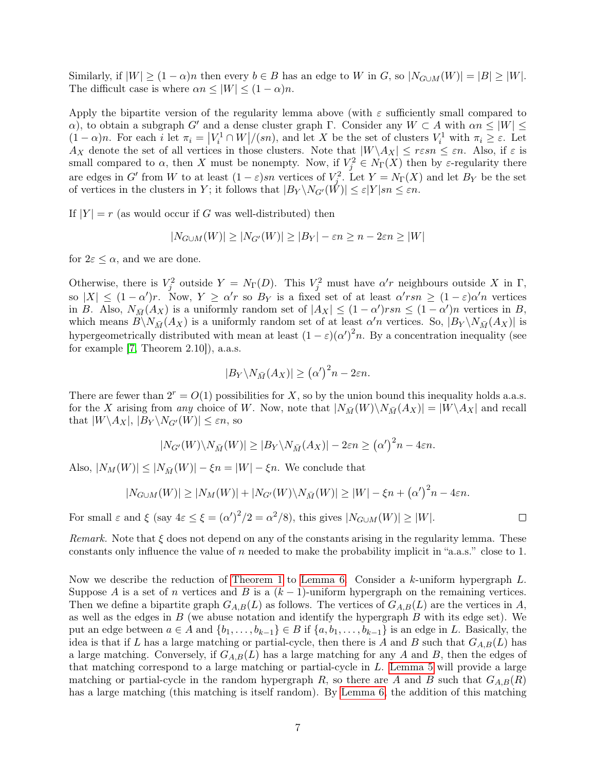Similarly, if  $|W| \ge (1 - \alpha)n$  then every  $b \in B$  has an edge to W in G, so  $|N_{G \cup M}(W)| = |B| \ge |W|$ . The difficult case is where  $\alpha n \leq |W| \leq (1 - \alpha)n$ .

Apply the bipartite version of the regularity lemma above (with  $\varepsilon$  sufficiently small compared to α), to obtain a subgraph G' and a dense cluster graph Γ. Consider any  $W \subset A$  with  $\alpha n \leq |W| \leq$  $(1-\alpha)n$ . For each i let  $\pi_i = |V_i^1 \cap W|/(sn)$ , and let X be the set of clusters  $V_i^1$  with  $\pi_i \geq \varepsilon$ . Let  $A_X$  denote the set of all vertices in those clusters. Note that  $|W \setminus A_X| \leq r \varepsilon sn \leq \varepsilon n$ . Also, if  $\varepsilon$  is small compared to  $\alpha$ , then X must be nonempty. Now, if  $V_j^2 \in N_{\Gamma}(X)$  then by  $\varepsilon$ -regularity there are edges in G' from W to at least  $(1 - \varepsilon)sn$  vertices of  $V_j^2$ . Let  $Y = N_{\Gamma}(X)$  and let  $B_Y$  be the set of vertices in the clusters in Y; it follows that  $|B_Y \setminus N_{G'}(\tilde{W})| \leq \varepsilon |Y| \leq \varepsilon n$ .

If  $|Y| = r$  (as would occur if G was well-distributed) then

$$
|N_{G\cup M}(W)| \ge |N_{G'}(W)| \ge |B_Y| - \varepsilon n \ge n - 2\varepsilon n \ge |W|
$$

for  $2\varepsilon \leq \alpha$ , and we are done.

Otherwise, there is  $V_j^2$  outside  $Y = N_{\Gamma}(D)$ . This  $V_j^2$  must have  $\alpha'$ r neighbours outside X in  $\Gamma$ , so  $|X| \leq (1-\alpha')r$ . Now,  $Y \geq \alpha'r$  so  $B_Y$  is a fixed set of at least  $\alpha' r s n \geq (1-\varepsilon)\alpha'n$  vertices in B. Also,  $N_{\bar{M}}(A_X)$  is a uniformly random set of  $|A_X| \leq (1 - \alpha') r s n \leq (1 - \alpha') n$  vertices in B, which means  $B\setminus N_{\bar{M}}(A_X)$  is a uniformly random set of at least  $\alpha'n$  vertices. So,  $|B_Y\setminus N_{\bar{M}}(A_X)|$  is hypergeometrically distributed with mean at least  $(1 - \varepsilon)(\alpha')^2 n$ . By a concentration inequality (see for example [\[7,](#page-15-9) Theorem 2.10]), a.a.s.

$$
|B_Y \backslash N_{\bar{M}}(A_X)| \geq (\alpha')^2 n - 2\varepsilon n.
$$

There are fewer than  $2^r = O(1)$  possibilities for X, so by the union bound this inequality holds a.a.s. for the X arising from any choice of W. Now, note that  $|N_{\bar{M}}(W)\setminus N_{\bar{M}}(A_X)| = |W\setminus A_X|$  and recall that  $|W \backslash A_X|, |B_Y \backslash N_{G'}(W)| \leq \varepsilon n$ , so

$$
|N_{G'}(W)\backslash N_{\bar{M}}(W)| \ge |B_Y \backslash N_{\bar{M}}(A_X)| - 2\varepsilon n \ge (\alpha')^2 n - 4\varepsilon n.
$$

Also,  $|N_M(W)| \leq |N_{\bar{M}}(W)| - \xi n = |W| - \xi n$ . We conclude that

$$
|N_{G\cup M}(W)| \ge |N_M(W)| + |N_{G'}(W)\setminus N_{\bar{M}}(W)| \ge |W| - \xi n + (\alpha')^2 n - 4\varepsilon n.
$$

 $\Box$ 

For small  $\varepsilon$  and  $\xi$  (say  $4\varepsilon \leq \xi = (\alpha')^2/2 = \alpha^2/8$ ), this gives  $|N_{G \cup M}(W)| \geq |W|$ .

*Remark.* Note that  $\xi$  does not depend on any of the constants arising in the regularity lemma. These constants only influence the value of n needed to make the probability implicit in "a.a.s." close to 1.

Now we describe the reduction of [Theorem 1](#page-1-0) to [Lemma 6.](#page-5-0) Consider a k-uniform hypergraph L. Suppose A is a set of n vertices and B is a  $(k-1)$ -uniform hypergraph on the remaining vertices. Then we define a bipartite graph  $G_{A,B}(L)$  as follows. The vertices of  $G_{A,B}(L)$  are the vertices in A, as well as the edges in  $B$  (we abuse notation and identify the hypergraph  $B$  with its edge set). We put an edge between  $a \in A$  and  $\{b_1, \ldots, b_{k-1}\} \in B$  if  $\{a, b_1, \ldots, b_{k-1}\}$  is an edge in L. Basically, the idea is that if L has a large matching or partial-cycle, then there is A and B such that  $G_{A,B}(L)$  has a large matching. Conversely, if  $G_{A,B}(L)$  has a large matching for any A and B, then the edges of that matching correspond to a large matching or partial-cycle in L. [Lemma 5](#page-3-4) will provide a large matching or partial-cycle in the random hypergraph R, so there are A and B such that  $G_{A,B}(R)$ has a large matching (this matching is itself random). By [Lemma 6,](#page-5-0) the addition of this matching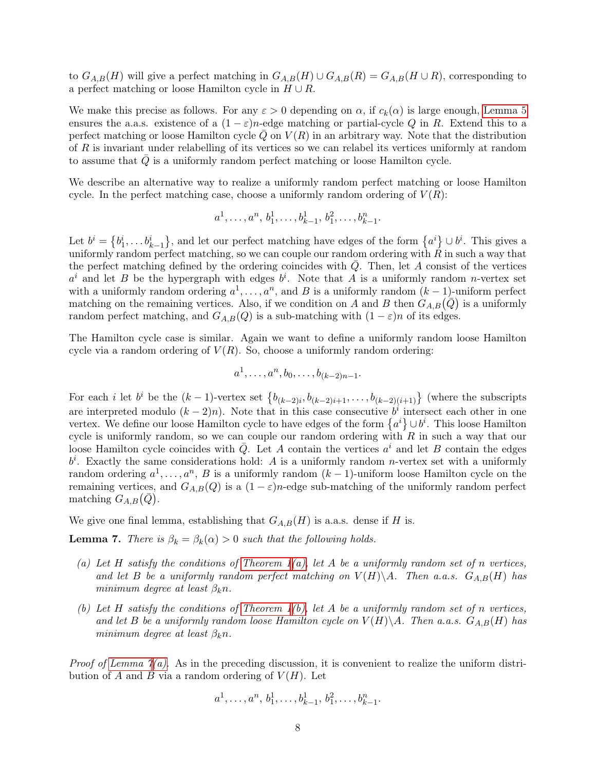to  $G_{A,B}(H)$  will give a perfect matching in  $G_{A,B}(H) \cup G_{A,B}(R) = G_{A,B}(H \cup R)$ , corresponding to a perfect matching or loose Hamilton cycle in  $H \cup R$ .

We make this precise as follows. For any  $\varepsilon > 0$  depending on  $\alpha$ , if  $c_k(\alpha)$  is large enough, [Lemma 5](#page-3-4) ensures the a.a.s. existence of a  $(1 - \varepsilon)n$ -edge matching or partial-cycle Q in R. Extend this to a perfect matching or loose Hamilton cycle  $Q$  on  $V(R)$  in an arbitrary way. Note that the distribution of R is invariant under relabelling of its vertices so we can relabel its vertices uniformly at random to assume that  $Q$  is a uniformly random perfect matching or loose Hamilton cycle.

We describe an alternative way to realize a uniformly random perfect matching or loose Hamilton cycle. In the perfect matching case, choose a uniformly random ordering of  $V(R)$ :

$$
a^1, \ldots, a^n, b_1^1, \ldots, b_{k-1}^1, b_1^2, \ldots, b_{k-1}^n.
$$

Let  $b^i = \{b_1^i, \ldots, b_{k-1}^i\}$ , and let our perfect matching have edges of the form  $\{a^i\} \cup b^i$ . This gives a uniformly random perfect matching, so we can couple our random ordering with  $\tilde{R}$  in such a way that the perfect matching defined by the ordering coincides with  $Q$ . Then, let  $A$  consist of the vertices  $a^i$  and let B be the hypergraph with edges  $b^i$ . Note that A is a uniformly random n-vertex set with a uniformly random ordering  $a^1, \ldots, a^n$ , and B is a uniformly random  $(k-1)$ -uniform perfect matching on the remaining vertices. Also, if we condition on A and B then  $G_{A,B}(\bar{Q})$  is a uniformly random perfect matching, and  $G_{A,B}(Q)$  is a sub-matching with  $(1 - \varepsilon)n$  of its edges.

The Hamilton cycle case is similar. Again we want to define a uniformly random loose Hamilton cycle via a random ordering of  $V(R)$ . So, choose a uniformly random ordering:

$$
a^1, \ldots, a^n, b_0, \ldots, b_{(k-2)n-1}.
$$

For each *i* let  $b^i$  be the  $(k-1)$ -vertex set  $\{b_{(k-2)i}, b_{(k-2)i+1}, \ldots, b_{(k-2)(i+1)}\}$  (where the subscripts are interpreted modulo  $(k-2)n$ ). Note that in this case consecutive  $b^i$  intersect each other in one vertex. We define our loose Hamilton cycle to have edges of the form  $\{a^i\} \cup b^i$ . This loose Hamilton cycle is uniformly random, so we can couple our random ordering with  $R$  in such a way that our loose Hamilton cycle coincides with  $\overline{Q}$ . Let A contain the vertices  $a^i$  and let B contain the edges  $b^i$ . Exactly the same considerations hold: A is a uniformly random *n*-vertex set with a uniformly random ordering  $a^1, \ldots, a^n$ , B is a uniformly random  $(k-1)$ -uniform loose Hamilton cycle on the remaining vertices, and  $G_{A,B}(Q)$  is a  $(1 - \varepsilon)n$ -edge sub-matching of the uniformly random perfect matching  $G_{A,B}(\bar{Q})$ .

We give one final lemma, establishing that  $G_{A,B}(H)$  is a.a.s. dense if H is.

<span id="page-7-0"></span>**Lemma 7.** There is  $\beta_k = \beta_k(\alpha) > 0$  such that the following holds.

- <span id="page-7-1"></span>(a) Let H satisfy the conditions of Theorem  $1(a)$ , let A be a uniformly random set of n vertices, and let B be a uniformly random perfect matching on  $V(H)\backslash A$ . Then a.a.s.  $G_{A,B}(H)$  has minimum degree at least  $\beta_k n$ .
- <span id="page-7-2"></span>(b) Let H satisfy the conditions of Theorem  $1(b)$ , let A be a uniformly random set of n vertices, and let B be a uniformly random loose Hamilton cycle on  $V(H)\backslash A$ . Then a.a.s.  $G_{A,B}(H)$  has minimum degree at least  $\beta_k n$ .

*Proof of Lemma*  $\gamma(a)$ . As in the preceding discussion, it is convenient to realize the uniform distribution of A and B via a random ordering of  $V(H)$ . Let

$$
a^1, \ldots, a^n, b_1^1, \ldots, b_{k-1}^1, b_1^2, \ldots, b_{k-1}^n.
$$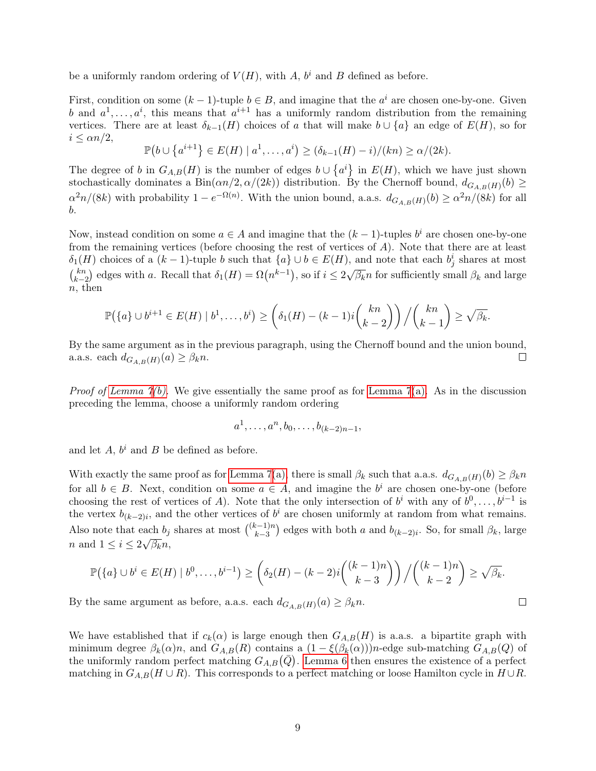be a uniformly random ordering of  $V(H)$ , with A,  $b<sup>i</sup>$  and B defined as before.

First, condition on some  $(k-1)$ -tuple  $b \in B$ , and imagine that the  $a^i$  are chosen one-by-one. Given b and  $a^1, \ldots, a^i$ , this means that  $a^{i+1}$  has a uniformly random distribution from the remaining vertices. There are at least  $\delta_{k-1}(H)$  choices of a that will make  $b \cup \{a\}$  an edge of  $E(H)$ , so for  $i \leq \alpha n/2$ ,

$$
\mathbb{P}(b \cup \{a^{i+1}\}\in E(H) \mid a^1,\ldots,a^i) \ge (\delta_{k-1}(H)-i)/(kn) \ge \alpha/(2k).
$$

The degree of b in  $G_{A,B}(H)$  is the number of edges  $b \cup \{a^i\}$  in  $E(H)$ , which we have just shown stochastically dominates a  $Bin(\alpha n/2, \alpha/(2k))$  distribution. By the Chernoff bound,  $d_{G_{A,B}(H)}(b) \ge$  $\alpha^2 n/(8k)$  with probability  $1 - e^{-\Omega(n)}$ . With the union bound, a.a.s.  $d_{G_{A,B}(H)}(b) \ge \alpha^2 n/(8k)$  for all b.

Now, instead condition on some  $a \in A$  and imagine that the  $(k-1)$ -tuples  $b^i$  are chosen one-by-one from the remaining vertices (before choosing the rest of vertices of A). Note that there are at least  $\delta_1(H)$  choices of a  $(k-1)$ -tuple b such that  $\{a\} \cup b \in E(H)$ , and note that each  $b_j^i$  shares at most  $\binom{kn}{k}$  $k-2 \choose k-2}$  edges with a. Recall that  $\delta_1(H) = \Omega(n^{k-1}),$  so if  $i \leq 2$  $^{\prime}$   $^{\prime}$  $\overline{\beta_k}n$  for sufficiently small  $\beta_k$  and large  $n$ , then

$$
\mathbb{P}(\lbrace a \rbrace \cup b^{i+1} \in E(H) \mid b^1, \ldots, b^i) \geq \left( \delta_1(H) - (k-1)i \binom{kn}{k-2} \right) / \binom{kn}{k-1} \geq \sqrt{\beta_k}.
$$

By the same argument as in the previous paragraph, using the Chernoff bound and the union bound, a.a.s. each  $d_{G_{A,B}(H)}(a) \geq \beta_k n$ . □

*Proof of Lemma*  $\gamma(b)$ *.* We give essentially the same proof as for [Lemma 7](#page-7-0)[\(a\).](#page-7-1) As in the discussion preceding the lemma, choose a uniformly random ordering

$$
a^1, \ldots, a^n, b_0, \ldots, b_{(k-2)n-1},
$$

and let  $A, b^i$  and  $B$  be defined as before.

With exactly the same proof as for [Lemma 7](#page-7-0)[\(a\),](#page-7-1) there is small  $\beta_k$  such that a.a.s.  $d_{G_{A,B}(H)}(b) \ge \beta_k n$ for all  $b \in B$ . Next, condition on some  $a \in A$ , and imagine the  $b^i$  are chosen one-by-one (before choosing the rest of vertices of A). Note that the only intersection of  $b^i$  with any of  $b^0, \ldots, b^{i-1}$  is the vertex  $b_{(k-2)i}$ , and the other vertices of  $b^i$  are chosen uniformly at random from what remains. Also note that each  $b_j$  shares at most  $\binom{(k-1)n}{k-3}$ ach  $b_j$  shares at most  $\binom{(k-1)n}{k-3}$  edges with both a and  $b_{(k-2)i}$ . So, for small  $\beta_k$ , large *n* and  $1 \leq i \leq 2\sqrt{\beta_k}n$ ,

$$
\mathbb{P}(\lbrace a \rbrace \cup b^i \in E(H) \mid b^0, \ldots, b^{i-1}) \geq \left( \delta_2(H) - (k-2)i \binom{(k-1)n}{k-3} \right) \Big/ \binom{(k-1)n}{k-2} \geq \sqrt{\beta_k}.
$$

 $\Box$ 

By the same argument as before, a.a.s. each  $d_{G_{A,B}(H)}(a) \geq \beta_k n$ .

We have established that if  $c_k(\alpha)$  is large enough then  $G_{A,B}(H)$  is a.s. a bipartite graph with minimum degree  $\beta_k(\alpha)n$ , and  $G_{A,B}(R)$  contains a  $(1 - \xi(\beta_k(\alpha)))n$ -edge sub-matching  $G_{A,B}(Q)$  of the uniformly random perfect matching  $G_{A,B}(\bar{Q})$ . [Lemma 6](#page-5-0) then ensures the existence of a perfect matching in  $G_{A,B}(H \cup R)$ . This corresponds to a perfect matching or loose Hamilton cycle in  $H \cup R$ .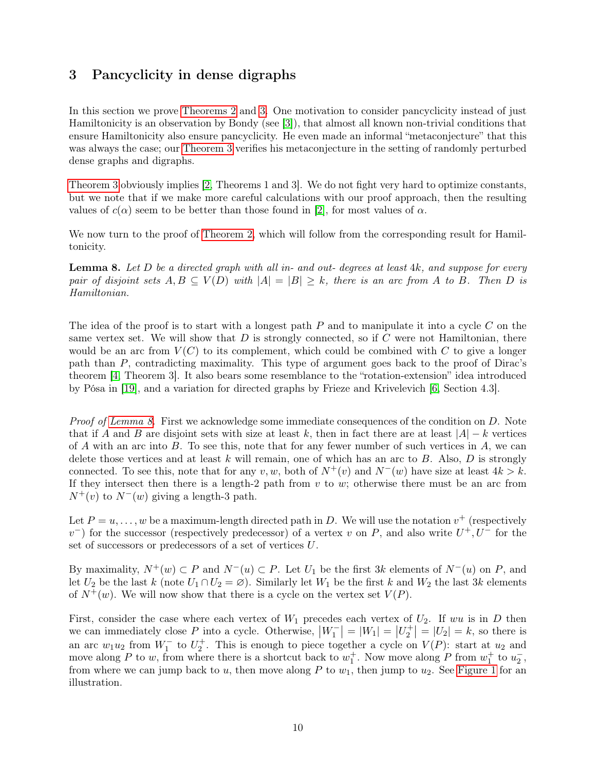# <span id="page-9-0"></span>3 Pancyclicity in dense digraphs

In this section we prove [Theorems 2](#page-2-0) and [3.](#page-2-1) One motivation to consider pancyclicity instead of just Hamiltonicity is an observation by Bondy (see [\[3\]](#page-15-11)), that almost all known non-trivial conditions that ensure Hamiltonicity also ensure pancyclicity. He even made an informal "metaconjecture" that this was always the case; our [Theorem 3](#page-2-1) verifies his metaconjecture in the setting of randomly perturbed dense graphs and digraphs.

[Theorem 3](#page-2-1) obviously implies [\[2,](#page-15-3) Theorems 1 and 3]. We do not fight very hard to optimize constants, but we note that if we make more careful calculations with our proof approach, then the resulting values of  $c(\alpha)$  seem to be better than those found in [\[2\]](#page-15-3), for most values of  $\alpha$ .

We now turn to the proof of [Theorem 2,](#page-2-0) which will follow from the corresponding result for Hamiltonicity.

<span id="page-9-1"></span>**Lemma 8.** Let  $D$  be a directed graph with all in- and out- degrees at least  $4k$ , and suppose for every pair of disjoint sets  $A, B \subseteq V(D)$  with  $|A| = |B| \geq k$ , there is an arc from A to B. Then D is Hamiltonian.

The idea of the proof is to start with a longest path  $P$  and to manipulate it into a cycle  $C$  on the same vertex set. We will show that  $D$  is strongly connected, so if  $C$  were not Hamiltonian, there would be an arc from  $V(C)$  to its complement, which could be combined with C to give a longer path than P, contradicting maximality. This type of argument goes back to the proof of Dirac's theorem [\[4,](#page-15-1) Theorem 3]. It also bears some resemblance to the "rotation-extension" idea introduced by Pósa in [\[19\]](#page-16-0), and a variation for directed graphs by Frieze and Krivelevich [\[6,](#page-15-12) Section 4.3].

*Proof of [Lemma 8.](#page-9-1)* First we acknowledge some immediate consequences of the condition on D. Note that if A and B are disjoint sets with size at least k, then in fact there are at least  $|A| - k$  vertices of A with an arc into B. To see this, note that for any fewer number of such vertices in A, we can delete those vertices and at least k will remain, one of which has an arc to  $B$ . Also,  $D$  is strongly connected. To see this, note that for any v, w, both of  $N^+(v)$  and  $N^-(w)$  have size at least  $4k > k$ . If they intersect then there is a length-2 path from  $v$  to  $w$ ; otherwise there must be an arc from  $N^+(v)$  to  $N^-(w)$  giving a length-3 path.

Let  $P = u, \ldots, w$  be a maximum-length directed path in D. We will use the notation  $v^+$  (respectively  $v^{-}$ ) for the successor (respectively predecessor) of a vertex v on P, and also write  $U^{+}$ ,  $U^{-}$  for the set of successors or predecessors of a set of vertices U.

By maximality,  $N^+(w) \subset P$  and  $N^-(u) \subset P$ . Let  $U_1$  be the first 3k elements of  $N^-(u)$  on P, and let  $U_2$  be the last k (note  $U_1 \cap U_2 = \emptyset$ ). Similarly let  $W_1$  be the first k and  $W_2$  the last 3k elements of  $N^+(w)$ . We will now show that there is a cycle on the vertex set  $V(P)$ .

First, consider the case where each vertex of  $W_1$  precedes each vertex of  $U_2$ . If wu is in D then we can immediately close P into a cycle. Otherwise,  $|W_1^-| = |W_1| = |U_2^+| = |U_2| = k$ , so there is an arc  $w_1u_2$  from  $W_1^-$  to  $U_2^+$ . This is enough to piece together a cycle on  $V(P)$ : start at  $u_2$  and move along P to w, from where there is a shortcut back to  $w_1^+$ . Now move along P from  $w_1^+$  to  $u_2^-$ , from where we can jump back to  $u$ , then move along P to  $w_1$ , then jump to  $u_2$ . See [Figure 1](#page-10-0) for an illustration.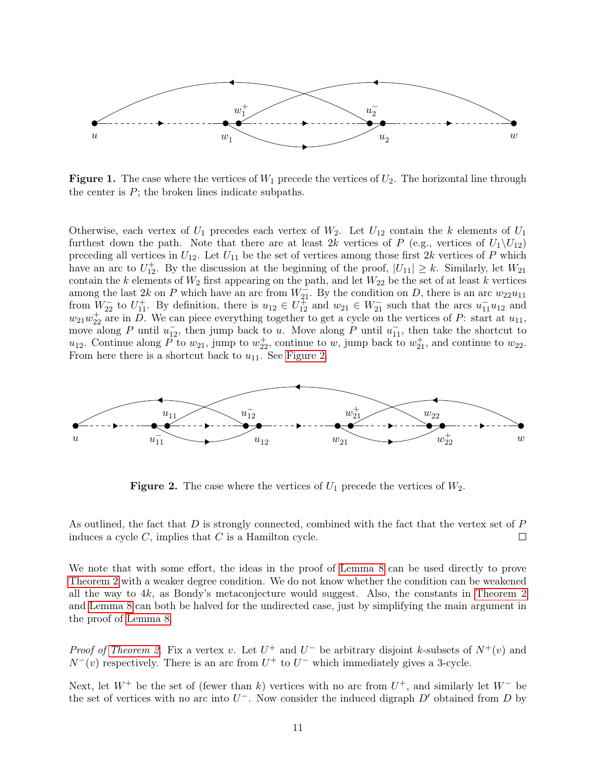<span id="page-10-0"></span>

**Figure 1.** The case where the vertices of  $W_1$  precede the vertices of  $U_2$ . The horizontal line through the center is  $P$ ; the broken lines indicate subpaths.

Otherwise, each vertex of  $U_1$  precedes each vertex of  $W_2$ . Let  $U_{12}$  contain the k elements of  $U_1$ furthest down the path. Note that there are at least 2k vertices of P (e.g., vertices of  $U_1\backslash U_{12}$ ) preceding all vertices in  $U_{12}$ . Let  $U_{11}$  be the set of vertices among those first 2k vertices of P which have an arc to  $U_{12}^+$ . By the discussion at the beginning of the proof,  $|U_{11}| \geq k$ . Similarly, let  $W_{21}$ contain the k elements of  $W_2$  first appearing on the path, and let  $W_{22}$  be the set of at least k vertices among the last 2k on P which have an arc from  $W_{21}^{\perp}$ . By the condition on D, there is an arc  $w_{22}u_{11}$ from  $W_{22}^-$  to  $U_{11}^+$ . By definition, there is  $u_{12} \in U_{12}^+$  and  $w_{21} \in W_{21}^-$  such that the arcs  $u_{11}^- u_{12}$  and  $w_{21}w_{22}^+$  are in  $\overrightarrow{D}$ . We can piece everything together to get a cycle on the vertices of P: start at  $u_{11}$ , move along P until  $u_{12}$ , then jump back to u. Move along P until  $u_{11}$ , then take the shortcut to  $u_{12}$ . Continue along  $\overrightarrow{P}$  to  $w_{21}$ , jump to  $w_{22}^+$ , continue to  $w$ , jump back to  $w_{21}^+$ , and continue to  $w_{22}$ . From here there is a shortcut back to  $u_{11}$ . See [Figure 2.](#page-10-1)

<span id="page-10-1"></span>

**Figure 2.** The case where the vertices of  $U_1$  precede the vertices of  $W_2$ .

As outlined, the fact that  $D$  is strongly connected, combined with the fact that the vertex set of  $P$ induces a cycle  $C$ , implies that  $C$  is a Hamilton cycle.  $\Box$ 

We note that with some effort, the ideas in the proof of [Lemma 8](#page-9-1) can be used directly to prove [Theorem 2](#page-2-0) with a weaker degree condition. We do not know whether the condition can be weakened all the way to 4k, as Bondy's metaconjecture would suggest. Also, the constants in [Theorem 2](#page-2-0) and [Lemma 8](#page-9-1) can both be halved for the undirected case, just by simplifying the main argument in the proof of [Lemma 8.](#page-9-1)

*Proof of [Theorem 2.](#page-2-0)* Fix a vertex v. Let  $U^+$  and  $U^-$  be arbitrary disjoint k-subsets of  $N^+(v)$  and  $N^-(v)$  respectively. There is an arc from  $U^+$  to  $U^-$  which immediately gives a 3-cycle.

Next, let  $W^+$  be the set of (fewer than k) vertices with no arc from  $U^+$ , and similarly let  $W^-$  be the set of vertices with no arc into  $U^-$ . Now consider the induced digraph  $D'$  obtained from D by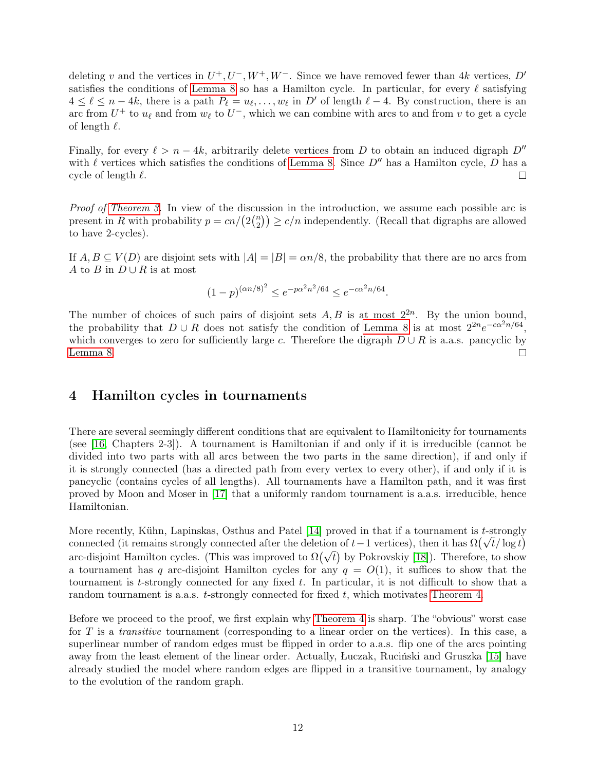deleting v and the vertices in  $U^+, U^-, W^+, W^-$ . Since we have removed fewer than 4k vertices, D' satisfies the conditions of [Lemma 8](#page-9-1) so has a Hamilton cycle. In particular, for every  $\ell$  satisfying  $4 \leq \ell \leq n-4k$ , there is a path  $P_{\ell} = u_{\ell}, \ldots, w_{\ell}$  in D' of length  $\ell - 4$ . By construction, there is an arc from  $U^+$  to  $u_{\ell}$  and from  $w_{\ell}$  to  $U^-$ , which we can combine with arcs to and from v to get a cycle of length  $\ell$ .

Finally, for every  $\ell > n - 4k$ , arbitrarily delete vertices from D to obtain an induced digraph  $D''$ with  $\ell$  vertices which satisfies the conditions of [Lemma 8.](#page-9-1) Since  $D''$  has a Hamilton cycle, D has a cycle of length  $\ell$ .  $\Box$ 

Proof of [Theorem 3.](#page-2-1) In view of the discussion in the introduction, we assume each possible arc is present in R with probability  $p = cn/(2\binom{n}{2})$  $\binom{n}{2}$ )  $\geq c/n$  independently. (Recall that digraphs are allowed to have 2-cycles).

If  $A, B \subseteq V(D)$  are disjoint sets with  $|A| = |B| = \alpha n/8$ , the probability that there are no arcs from A to B in  $D \cup R$  is at most

$$
(1-p)^{(\alpha n/8)^2} \le e^{-p\alpha^2 n^2/64} \le e^{-c\alpha^2 n/64}.
$$

The number of choices of such pairs of disjoint sets  $A, B$  is at most  $2^{2n}$ . By the union bound, the probability that  $D \cup R$  does not satisfy the condition of [Lemma 8](#page-9-1) is at most  $2^{2n}e^{-c\alpha^2 n/64}$ , which converges to zero for sufficiently large c. Therefore the digraph  $D \cup R$  is a.a.s. pancyclic by [Lemma 8.](#page-9-1)  $\Box$ 

## <span id="page-11-0"></span>4 Hamilton cycles in tournaments

There are several seemingly different conditions that are equivalent to Hamiltonicity for tournaments (see [\[16,](#page-16-4) Chapters 2-3]). A tournament is Hamiltonian if and only if it is irreducible (cannot be divided into two parts with all arcs between the two parts in the same direction), if and only if it is strongly connected (has a directed path from every vertex to every other), if and only if it is pancyclic (contains cycles of all lengths). All tournaments have a Hamilton path, and it was first proved by Moon and Moser in [\[17\]](#page-16-5) that a uniformly random tournament is a.a.s. irreducible, hence Hamiltonian.

More recently, Kühn, Lapinskas, Osthus and Patel [\[14\]](#page-16-6) proved in that if a tournament is t-strongly More recently, Kunn, Lapinskas, Osthus and Patel [14] proved in that if a tournament is t-strongly connected (it remains strongly connected after the deletion of t – 1 vertices), then it has  $\Omega(\sqrt{t}/\log t)$ connected (it remains strongly connected after the defection of  $t-1$  vertices), then it has  $\Omega(\nabla t/\log t)$  arc-disjoint Hamilton cycles. (This was improved to  $\Omega(\sqrt{t})$  by Pokrovskiy [\[18\]](#page-16-7)). Therefore, to show a tournament has q arc-disjoint Hamilton cycles for any  $q = O(1)$ , it suffices to show that the tournament is t-strongly connected for any fixed  $t$ . In particular, it is not difficult to show that a random tournament is a.a.s.  $t$ -strongly connected for fixed  $t$ , which motivates [Theorem 4.](#page-3-1)

Before we proceed to the proof, we first explain why [Theorem 4](#page-3-1) is sharp. The "obvious" worst case for T is a *transitive* tournament (corresponding to a linear order on the vertices). In this case, a superlinear number of random edges must be flipped in order to a.a.s. flip one of the arcs pointing away from the least element of the linear order. Actually, Łuczak, Ruciński and Gruszka [\[15\]](#page-16-8) have already studied the model where random edges are flipped in a transitive tournament, by analogy to the evolution of the random graph.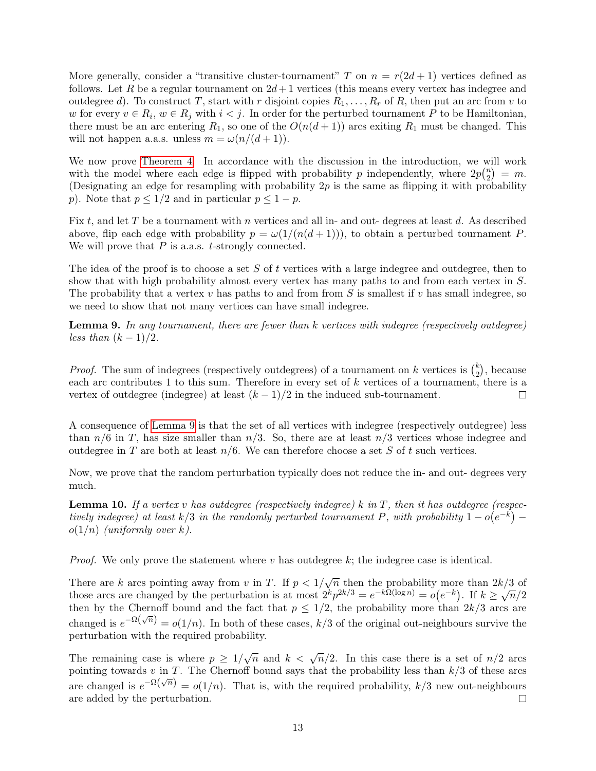More generally, consider a "transitive cluster-tournament" T on  $n = r(2d + 1)$  vertices defined as follows. Let R be a regular tournament on  $2d+1$  vertices (this means every vertex has indegree and outdegree d). To construct T, start with r disjoint copies  $R_1, \ldots, R_r$  of R, then put an arc from v to w for every  $v \in R_i$ ,  $w \in R_j$  with  $i < j$ . In order for the perturbed tournament P to be Hamiltonian, there must be an arc entering  $R_1$ , so one of the  $O(n(d+1))$  arcs exiting  $R_1$  must be changed. This will not happen a.a.s. unless  $m = \omega(n/(d+1)).$ 

We now prove [Theorem 4.](#page-3-1) In accordance with the discussion in the introduction, we will work with the model where each edge is flipped with probability p independently, where  $2p\binom{n}{2}$  $\binom{n}{2} = m.$ (Designating an edge for resampling with probability  $2p$  is the same as flipping it with probability p). Note that  $p \leq 1/2$  and in particular  $p \leq 1 - p$ .

Fix t, and let T be a tournament with n vertices and all in- and out- degrees at least d. As described above, flip each edge with probability  $p = \omega(1/(n(d+1)))$ , to obtain a perturbed tournament P. We will prove that  $P$  is a.a.s.  $t$ -strongly connected.

The idea of the proof is to choose a set  $S$  of t vertices with a large indegree and outdegree, then to show that with high probability almost every vertex has many paths to and from each vertex in S. The probability that a vertex  $v$  has paths to and from from  $S$  is smallest if  $v$  has small indegree, so we need to show that not many vertices can have small indegree.

<span id="page-12-0"></span>**Lemma 9.** In any tournament, there are fewer than  $k$  vertices with indegree (respectively outdegree) less than  $(k-1)/2$ .

*Proof.* The sum of indegrees (respectively outdegrees) of a tournament on k vertices is  $\binom{k}{2}$  $_{2}^{k}),$  because each arc contributes 1 to this sum. Therefore in every set of k vertices of a tournament, there is a vertex of outdegree (indegree) at least  $(k-1)/2$  in the induced sub-tournament.  $\Box$ 

A consequence of [Lemma 9](#page-12-0) is that the set of all vertices with indegree (respectively outdegree) less than  $n/6$  in T, has size smaller than  $n/3$ . So, there are at least  $n/3$  vertices whose indegree and outdegree in T are both at least  $n/6$ . We can therefore choose a set S of t such vertices.

Now, we prove that the random perturbation typically does not reduce the in- and out- degrees very much.

<span id="page-12-1"></span>**Lemma 10.** If a vertex v has outdegree (respectively indegree) k in T, then it has outdegree (respectively indegree) at least k/3 in the randomly perturbed tournament P, with probability  $1 - o(e^{-k})$  –  $o(1/n)$  (uniformly over k).

*Proof.* We only prove the statement where v has outdegree k; the indegree case is identical.

There are k arcs pointing away from v in T. If  $p < 1/\sqrt{n}$  then the probability more than  $2k/3$  of There are k arcs pointing away from v in 1. If  $p < 1/\sqrt{n}$  then the probability flore than  $2k/3$  of those arcs are changed by the perturbation is at most  $2^k p^{2k/3} = e^{-k\Omega(\log n)} = o(e^{-k})$ . If  $k \ge \sqrt{n}/2$ then by the Chernoff bound and the fact that  $p \leq 1/2$ , the probability more than  $2k/3$  arcs are changed is  $e^{-\Omega(\sqrt{n})} = o(1/n)$ . In both of these cases,  $k/3$  of the original out-neighbours survive the perturbation with the required probability.

The remaining case is where  $p \geq 1/\sqrt{n}$  and  $k < \sqrt{n}/2$ . In this case there is a set of  $n/2$  arcs pointing towards v in T. The Chernoff bound says that the probability less than  $k/3$  of these arcs are changed is  $e^{-\Omega(\sqrt{n})} = o(1/n)$ . That is, with the required probability,  $k/3$  new out-neighbours are added by the perturbation.  $\Box$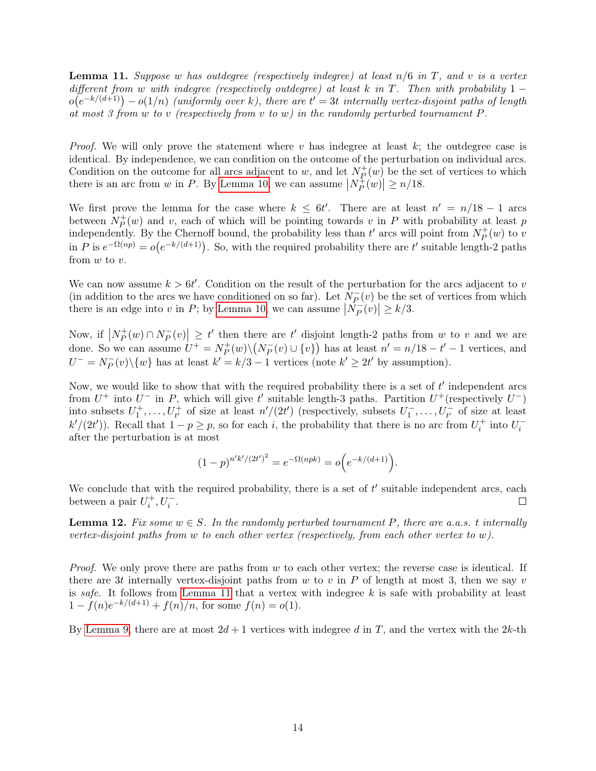<span id="page-13-0"></span>**Lemma 11.** Suppose w has outdegree (respectively indegree) at least  $n/6$  in T, and v is a vertex different from w with indegree (respectively outdegree) at least k in T. Then with probability  $1$  $o(e^{-k/(d+1)}) - o(1/n)$  (uniformly over k), there are  $t' = 3t$  internally vertex-disjoint paths of length at most 3 from  $\hat{w}$  to  $\hat{v}$  (respectively from  $\hat{v}$  to  $\hat{w}$ ) in the randomly perturbed tournament P.

*Proof.* We will only prove the statement where v has indegree at least k; the outdegree case is identical. By independence, we can condition on the outcome of the perturbation on individual arcs. Condition on the outcome for all arcs adjacent to w, and let  $N_P^+$  $_P^+(w)$  be the set of vertices to which there is an arc from w in P. By [Lemma 10,](#page-12-1) we can assume  $|N_P^+|$  $\left| \frac{1}{P}(w) \right| \geq n/18.$ 

We first prove the lemma for the case where  $k \leq 6t'$ . There are at least  $n' = n/18 - 1$  arcs between  $N_P^+$  $P^+(w)$  and v, each of which will be pointing towards v in P with probability at least p independently. By the Chernoff bound, the probability less than  $t'$  arcs will point from  $N_P^+$  $\bar{P}^+(w)$  to v in P is  $e^{-\Omega(np)} = o(e^{-k/(d+1)})$ . So, with the required probability there are t' suitable length-2 paths from  $w$  to  $v$ .

We can now assume  $k > 6t'$ . Condition on the result of the perturbation for the arcs adjacent to v (in addition to the arcs we have conditioned on so far). Let  $\overline{N_P}$  $P_P(v)$  be the set of vertices from which there is an edge into v in P; by [Lemma 10,](#page-12-1) we can assume  $\left| N_P^{-} \right|$  $|P(v)| \ge k/3.$ 

Now, if  $N_P^+$  $P^+(w) \cap N_P^ \mathbb{E}_P[v] \ge t'$  then there are t' disjoint length-2 paths from w to v and we are done. So we can assume  $U^+ = N_P^+$  $\overline{P}^+(w)\backslash (N_P^-)$  $\overline{P}(v) \cup \{v\}$  has at least  $n' = n/18 - t' - 1$  vertices, and  $U^{-} = N_P^{-}$  $\overline{P}(v)\backslash\{w\}$  has at least  $k'=k/3-1$  vertices (note  $k'\geq 2t'$  by assumption).

Now, we would like to show that with the required probability there is a set of  $t'$  independent arcs from  $U^+$  into  $U^-$  in P, which will give t' suitable length-3 paths. Partition  $U^+$  (respectively  $U^-$ ) into subsets  $U_1^+,\ldots,U_{t'}^+$  of size at least  $n'/(2t')$  (respectively, subsets  $U_1^-,\ldots,U_{t'}^-$  of size at least  $k'/(2t')$ ). Recall that  $1 - p \geq p$ , so for each i, the probability that there is no arc from  $U_i^+$  into  $U_i^$ after the perturbation is at most

$$
(1-p)^{n'k'/(2t')^{2}} = e^{-\Omega(npk)} = o(e^{-k/(d+1)}).
$$

We conclude that with the required probability, there is a set of  $t'$  suitable independent arcs, each between a pair  $U_i^+, U_i^-$ .  $\Box$ 

<span id="page-13-1"></span>**Lemma 12.** Fix some  $w \in S$ . In the randomly perturbed tournament P, there are a.a.s. t internally vertex-disjoint paths from w to each other vertex (respectively, from each other vertex to w).

*Proof.* We only prove there are paths from  $w$  to each other vertex; the reverse case is identical. If there are 3t internally vertex-disjoint paths from w to v in P of length at most 3, then we say v is safe. It follows from [Lemma 11](#page-13-0) that a vertex with indegree  $k$  is safe with probability at least  $1 - f(n)e^{-k/(d+1)} + f(n)/n$ , for some  $f(n) = o(1)$ .

By [Lemma 9,](#page-12-0) there are at most  $2d + 1$  vertices with indegree d in T, and the vertex with the  $2k$ -th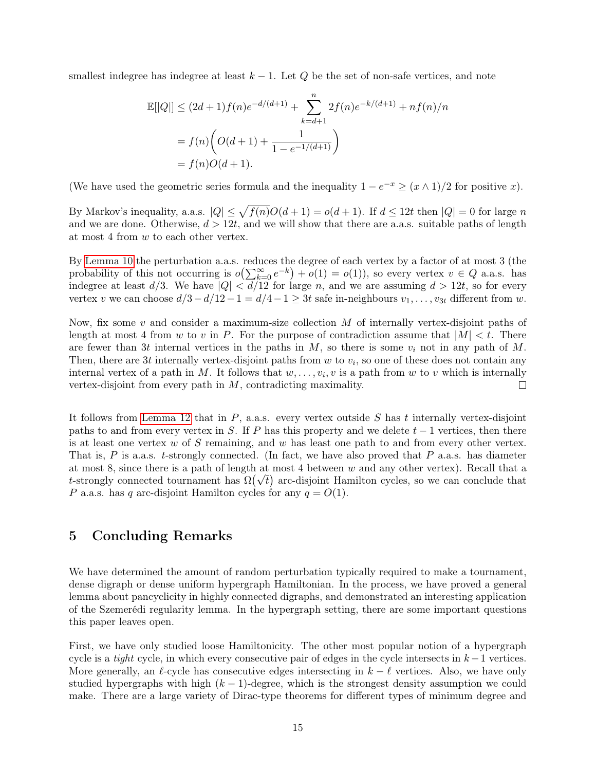smallest indegree has indegree at least  $k-1$ . Let Q be the set of non-safe vertices, and note

$$
\mathbb{E}[|Q|] \le (2d+1)f(n)e^{-d/(d+1)} + \sum_{k=d+1}^{n} 2f(n)e^{-k/(d+1)} + nf(n)/n
$$

$$
= f(n)\left(O(d+1) + \frac{1}{1 - e^{-1/(d+1)}}\right)
$$

$$
= f(n)O(d+1).
$$

(We have used the geometric series formula and the inequality  $1 - e^{-x} \ge (x \wedge 1)/2$  for positive x).

By Markov's inequality, a.a.s.  $|Q| \leq \sqrt{f(n)}O(d+1) = o(d+1)$ . If  $d \leq 12t$  then  $|Q| = 0$  for large n and we are done. Otherwise,  $d > 12t$ , and we will show that there are a.s. suitable paths of length at most 4 from w to each other vertex.

By [Lemma 10](#page-12-1) the perturbation a.a.s. reduces the degree of each vertex by a factor of at most 3 (the probability of this not occurring is  $o(\sum_{k=0}^{\infty}e^{-k})+o(1)=o(1)$ , so every vertex  $v \in Q$  a.a.s. has indegree at least  $d/3$ . We have  $|Q| < d/12$  for large n, and we are assuming  $d > 12t$ , so for every vertex v we can choose  $d/3-d/12-1 = d/4-1 \geq 3t$  safe in-neighbours  $v_1, \ldots, v_{3t}$  different from w.

Now, fix some  $v$  and consider a maximum-size collection  $M$  of internally vertex-disjoint paths of length at most 4 from w to v in P. For the purpose of contradiction assume that  $|M| < t$ . There are fewer than 3t internal vertices in the paths in  $M$ , so there is some  $v_i$  not in any path of  $M$ . Then, there are 3t internally vertex-disjoint paths from  $w$  to  $v_i$ , so one of these does not contain any internal vertex of a path in M. It follows that  $w, \ldots, v_i, v$  is a path from w to v which is internally vertex-disjoint from every path in M, contradicting maximality.  $\Box$ 

It follows from [Lemma 12](#page-13-1) that in  $P$ , a.a.s. every vertex outside  $S$  has t internally vertex-disjoint paths to and from every vertex in S. If P has this property and we delete  $t - 1$  vertices, then there is at least one vertex  $w$  of S remaining, and  $w$  has least one path to and from every other vertex. That is,  $P$  is a.a.s. t-strongly connected. (In fact, we have also proved that  $P$  a.a.s. has diameter at most 8, since there is a path of length at most 4 between  $w$  and any other vertex). Recall that a at most 8, since there is a path of length at most 4 between w and any other vertex). Recall that a<br>t-strongly connected tournament has  $\Omega(\sqrt{t})$  arc-disjoint Hamilton cycles, so we can conclude that P a.a.s. has q arc-disjoint Hamilton cycles for any  $q = O(1)$ .

# 5 Concluding Remarks

We have determined the amount of random perturbation typically required to make a tournament, dense digraph or dense uniform hypergraph Hamiltonian. In the process, we have proved a general lemma about pancyclicity in highly connected digraphs, and demonstrated an interesting application of the Szemerédi regularity lemma. In the hypergraph setting, there are some important questions this paper leaves open.

First, we have only studied loose Hamiltonicity. The other most popular notion of a hypergraph cycle is a *tight* cycle, in which every consecutive pair of edges in the cycle intersects in  $k - 1$  vertices. More generally, an  $\ell$ -cycle has consecutive edges intersecting in  $k - \ell$  vertices. Also, we have only studied hypergraphs with high  $(k - 1)$ -degree, which is the strongest density assumption we could make. There are a large variety of Dirac-type theorems for different types of minimum degree and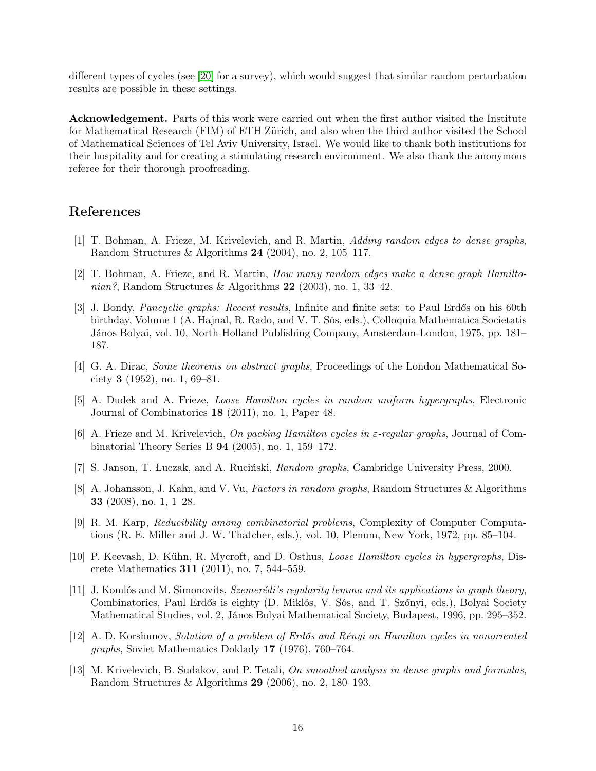different types of cycles (see [\[20\]](#page-16-9) for a survey), which would suggest that similar random perturbation results are possible in these settings.

Acknowledgement. Parts of this work were carried out when the first author visited the Institute for Mathematical Research (FIM) of ETH Zürich, and also when the third author visited the School of Mathematical Sciences of Tel Aviv University, Israel. We would like to thank both institutions for their hospitality and for creating a stimulating research environment. We also thank the anonymous referee for their thorough proofreading.

### References

- <span id="page-15-4"></span>[1] T. Bohman, A. Frieze, M. Krivelevich, and R. Martin, Adding random edges to dense graphs, Random Structures & Algorithms 24 (2004), no. 2, 105–117.
- <span id="page-15-3"></span>[2] T. Bohman, A. Frieze, and R. Martin, How many random edges make a dense graph Hamiltonian?, Random Structures & Algorithms  $22$  (2003), no. 1, 33-42.
- <span id="page-15-11"></span>[3] J. Bondy, Pancyclic graphs: Recent results, Infinite and finite sets: to Paul Erdős on his 60th birthday, Volume 1 (A. Hajnal, R. Rado, and V. T. Sós, eds.), Colloquia Mathematica Societatis János Bolyai, vol. 10, North-Holland Publishing Company, Amsterdam-London, 1975, pp. 181– 187.
- <span id="page-15-1"></span>[4] G. A. Dirac, Some theorems on abstract graphs, Proceedings of the London Mathematical Society 3 (1952), no. 1, 69–81.
- <span id="page-15-7"></span>[5] A. Dudek and A. Frieze, Loose Hamilton cycles in random uniform hypergraphs, Electronic Journal of Combinatorics 18 (2011), no. 1, Paper 48.
- <span id="page-15-12"></span>[6] A. Frieze and M. Krivelevich, On packing Hamilton cycles in ε-regular graphs, Journal of Combinatorial Theory Series B 94 (2005), no. 1, 159–172.
- <span id="page-15-9"></span>[7] S. Janson, T. Łuczak, and A. Ruciński, Random graphs, Cambridge University Press, 2000.
- <span id="page-15-8"></span>[8] A. Johansson, J. Kahn, and V. Vu, Factors in random graphs, Random Structures & Algorithms 33 (2008), no. 1, 1–28.
- <span id="page-15-0"></span>[9] R. M. Karp, Reducibility among combinatorial problems, Complexity of Computer Computations (R. E. Miller and J. W. Thatcher, eds.), vol. 10, Plenum, New York, 1972, pp. 85–104.
- <span id="page-15-6"></span>[10] P. Keevash, D. Kühn, R. Mycroft, and D. Osthus, Loose Hamilton cycles in hypergraphs, Discrete Mathematics 311 (2011), no. 7, 544–559.
- <span id="page-15-10"></span>[11] J. Komlós and M. Simonovits, Szemerédi's regularity lemma and its applications in graph theory, Combinatorics, Paul Erdős is eighty (D. Miklós, V. Sós, and T. Szőnyi, eds.), Bolyai Society Mathematical Studies, vol. 2, János Bolyai Mathematical Society, Budapest, 1996, pp. 295–352.
- <span id="page-15-2"></span>[12] A. D. Korshunov, Solution of a problem of Erdős and Rényi on Hamilton cycles in nonoriented graphs, Soviet Mathematics Doklady 17 (1976), 760–764.
- <span id="page-15-5"></span>[13] M. Krivelevich, B. Sudakov, and P. Tetali, On smoothed analysis in dense graphs and formulas, Random Structures & Algorithms 29 (2006), no. 2, 180–193.